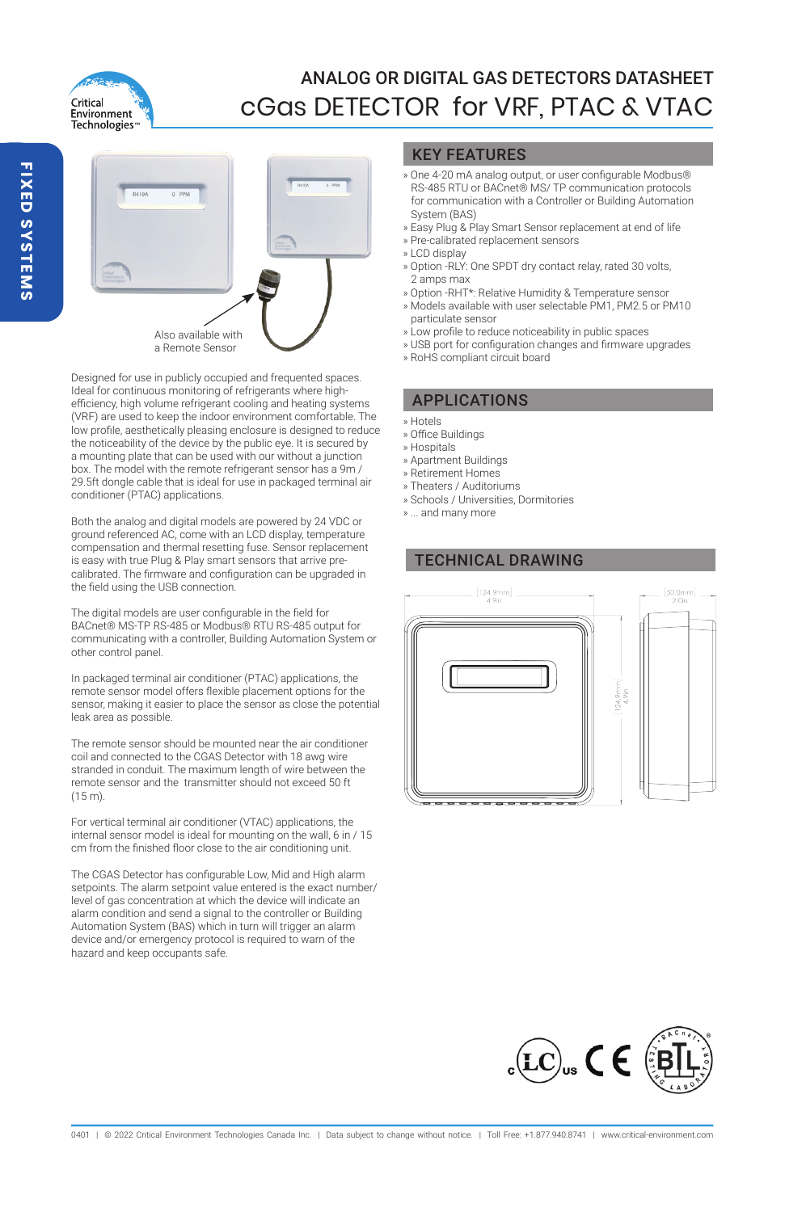

# ANALOG OR DIGITAL GAS DETECTORS DATASHEET cGas DETECTOR for VRF, PTAC & VTAC



Designed for use in publicly occupied and frequented spaces. Ideal for continuous monitoring of refrigerants where highefficiency, high volume refrigerant cooling and heating systems (VRF) are used to keep the indoor environment comfortable. The low profile, aesthetically pleasing enclosure is designed to reduce the noticeability of the device by the public eye. It is secured by a mounting plate that can be used with our without a junction box. The model with the remote refrigerant sensor has a 9m / 29.5ft dongle cable that is ideal for use in packaged terminal air conditioner (PTAC) applications.

Both the analog and digital models are powered by 24 VDC or ground referenced AC, come with an LCD display, temperature compensation and thermal resetting fuse. Sensor replacement is easy with true Plug & Play smart sensors that arrive precalibrated. The firmware and configuration can be upgraded in the field using the USB connection.

The digital models are user configurable in the field for BACnet® MS-TP RS-485 or Modbus® RTU RS-485 output for communicating with a controller, Building Automation System or other control panel.

In packaged terminal air conditioner (PTAC) applications, the remote sensor model offers flexible placement options for the sensor, making it easier to place the sensor as close the potential leak area as possible.

The remote sensor should be mounted near the air conditioner coil and connected to the CGAS Detector with 18 awg wire stranded in conduit. The maximum length of wire between the remote sensor and the transmitter should not exceed 50 ft (15 m).

For vertical terminal air conditioner (VTAC) applications, the internal sensor model is ideal for mounting on the wall, 6 in / 15 cm from the finished floor close to the air conditioning unit.

The CGAS Detector has configurable Low, Mid and High alarm setpoints. The alarm setpoint value entered is the exact number/ level of gas concentration at which the device will indicate an alarm condition and send a signal to the controller or Building Automation System (BAS) which in turn will trigger an alarm device and/or emergency protocol is required to warn of the hazard and keep occupants safe.

### KEY FEATURES

- » One 4-20 mA analog output, or user configurable Modbus® RS-485 RTU or BACnet® MS/ TP communication protocols for communication with a Controller or Building Automation System (BAS)
- » Easy Plug & Play Smart Sensor replacement at end of life
- » Pre-calibrated replacement sensors
- » LCD display
- » Option -RLY: One SPDT dry contact relay, rated 30 volts, 2 amps max
- » Option -RHT\*: Relative Humidity & Temperature sensor » Models available with user selectable PM1, PM2.5 or PM10
- particulate sensor
- » Low profile to reduce noticeability in public spaces
- » USB port for configuration changes and firmware upgrades
- » RoHS compliant circuit board

### APPLICATIONS

- » Hotels
- » Office Buildings
- » Hospitals
- » Apartment Buildings
- » Retirement Homes
- » Theaters / Auditoriums
- » Schools / Universities, Dormitories
- » ... and many more

# TECHNICAL DRAWING